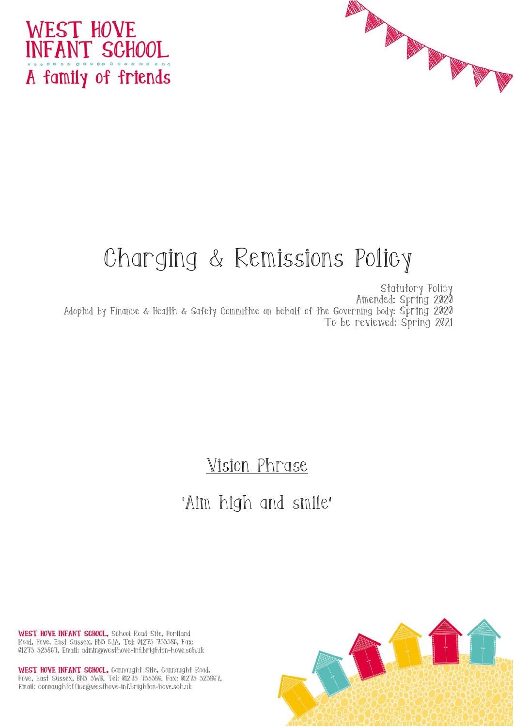



# Charging & Remissions Policy

Statutory Policy Amended: Spring 2020 Adopted by Finance & Health & Safety Committee on behalf of the Governing body: Spring 2020 To be reviewed: Spring 2021

Vision Phrase

## 'Aim high and smile'

WEST HOVE INFANT SCHOOL, School Road Site, Portland Road, Hove, East Sussex, BN3 5JA, Tel: 01273 733386, Fax: 01273 323867, Email: admin@westhove-inf.brighton-hove.sch.uk

WEST HOVE INFANT SCHOOL, Connaught Site, Connaught Road, Hove, East Sussex, BN3 3WB, Tel: 01273 733386, Fax: 01273 323867, Email: connaughtoffice@westhove-inf.brighton-hove.sch.uk

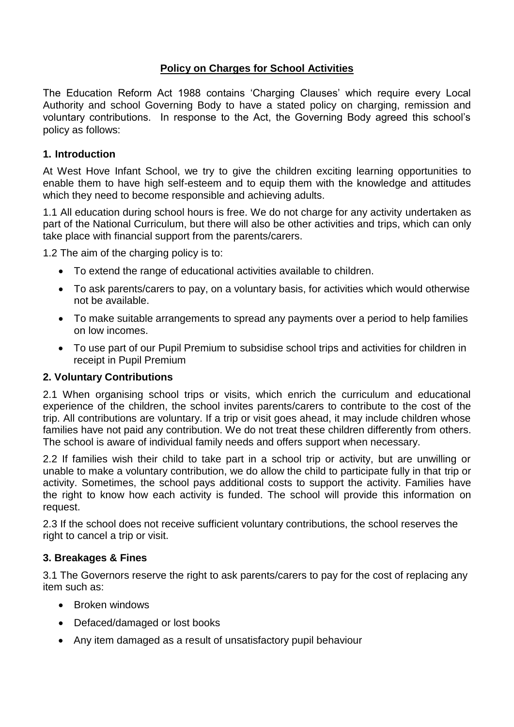### **Policy on Charges for School Activities**

The Education Reform Act 1988 contains 'Charging Clauses' which require every Local Authority and school Governing Body to have a stated policy on charging, remission and voluntary contributions. In response to the Act, the Governing Body agreed this school's policy as follows:

#### **1. Introduction**

At West Hove Infant School, we try to give the children exciting learning opportunities to enable them to have high self-esteem and to equip them with the knowledge and attitudes which they need to become responsible and achieving adults.

1.1 All education during school hours is free. We do not charge for any activity undertaken as part of the National Curriculum, but there will also be other activities and trips, which can only take place with financial support from the parents/carers.

1.2 The aim of the charging policy is to:

- To extend the range of educational activities available to children.
- To ask parents/carers to pay, on a voluntary basis, for activities which would otherwise not be available.
- To make suitable arrangements to spread any payments over a period to help families on low incomes.
- To use part of our Pupil Premium to subsidise school trips and activities for children in receipt in Pupil Premium

#### **2. Voluntary Contributions**

2.1 When organising school trips or visits, which enrich the curriculum and educational experience of the children, the school invites parents/carers to contribute to the cost of the trip. All contributions are voluntary. If a trip or visit goes ahead, it may include children whose families have not paid any contribution. We do not treat these children differently from others. The school is aware of individual family needs and offers support when necessary.

2.2 If families wish their child to take part in a school trip or activity, but are unwilling or unable to make a voluntary contribution, we do allow the child to participate fully in that trip or activity. Sometimes, the school pays additional costs to support the activity. Families have the right to know how each activity is funded. The school will provide this information on request.

2.3 If the school does not receive sufficient voluntary contributions, the school reserves the right to cancel a trip or visit.

#### **3. Breakages & Fines**

3.1 The Governors reserve the right to ask parents/carers to pay for the cost of replacing any item such as:

- Broken windows
- Defaced/damaged or lost books
- Any item damaged as a result of unsatisfactory pupil behaviour